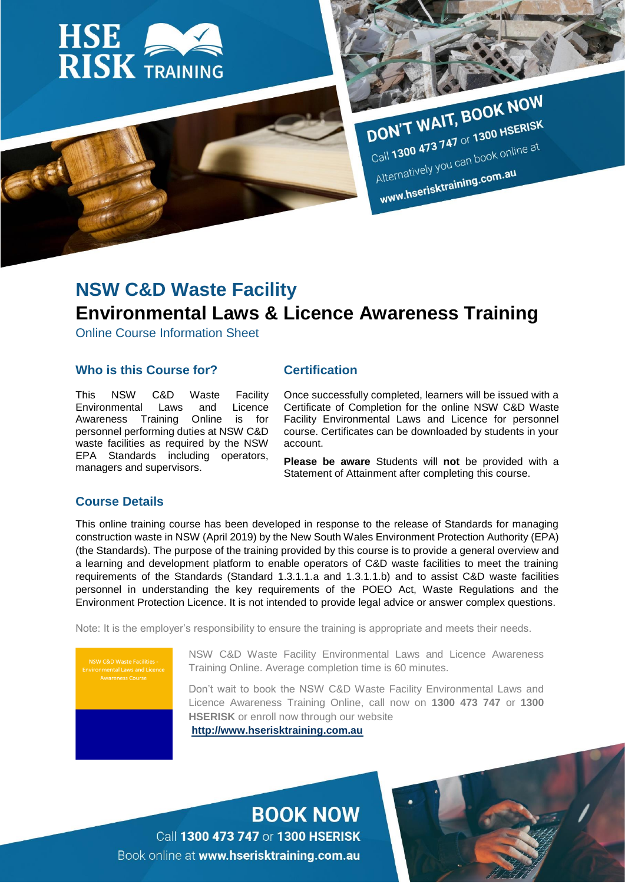

DON'T WAIT, BOOK NOW DON'T WAIT, BOUN ...<br>Call 1300 473 747 or 1300 HSERISK Call 1300 473 747 or 1300 1100<br>Alternatively you can book online at Alternatively you can be a seriously you can be a

# **NSW C&D Waste Facility Environmental Laws & Licence Awareness Training**

Online Course Information Sheet

### **Who is this Course for?**

This NSW C&D Waste Facility Environmental Laws and Licence Awareness Training Online is for personnel performing duties at NSW C&D waste facilities as required by the NSW EPA Standards including operators, managers and supervisors.

### **Certification**

Once successfully completed, learners will be issued with a Certificate of Completion for the online NSW C&D Waste Facility Environmental Laws and Licence for personnel course. Certificates can be downloaded by students in your account.

**Please be aware** Students will **not** be provided with a Statement of Attainment after completing this course.

### **Course Details**

This online training course has been developed in response to the release of Standards for managing construction waste in NSW (April 2019) by the New South Wales Environment Protection Authority (EPA) (the Standards). The purpose of the training provided by this course is to provide a general overview and a learning and development platform to enable operators of C&D waste facilities to meet the training requirements of the Standards (Standard 1.3.1.1.a and 1.3.1.1.b) and to assist C&D waste facilities personnel in understanding the key requirements of the POEO Act, Waste Regulations and the Environment Protection Licence. It is not intended to provide legal advice or answer complex questions.

Note: It is the employer's responsibility to ensure the training is appropriate and meets their needs.

**ISW C&D Waste Facilities** 

NSW C&D Waste Facility Environmental Laws and Licence Awareness Training Online. Average completion time is 60 minutes.

Don't wait to book the NSW C&D Waste Facility Environmental Laws and Licence Awareness Training Online, call now on **1300 473 747** or **1300 HSERISK** or enroll now through our website **[http://www.hserisktraining.com.au](http://www.hserisktraining.com.au/)**

**BOOK NOW** 

Call 1300 473 747 or 1300 HSERISK Book online at www.hserisktraining.com.au